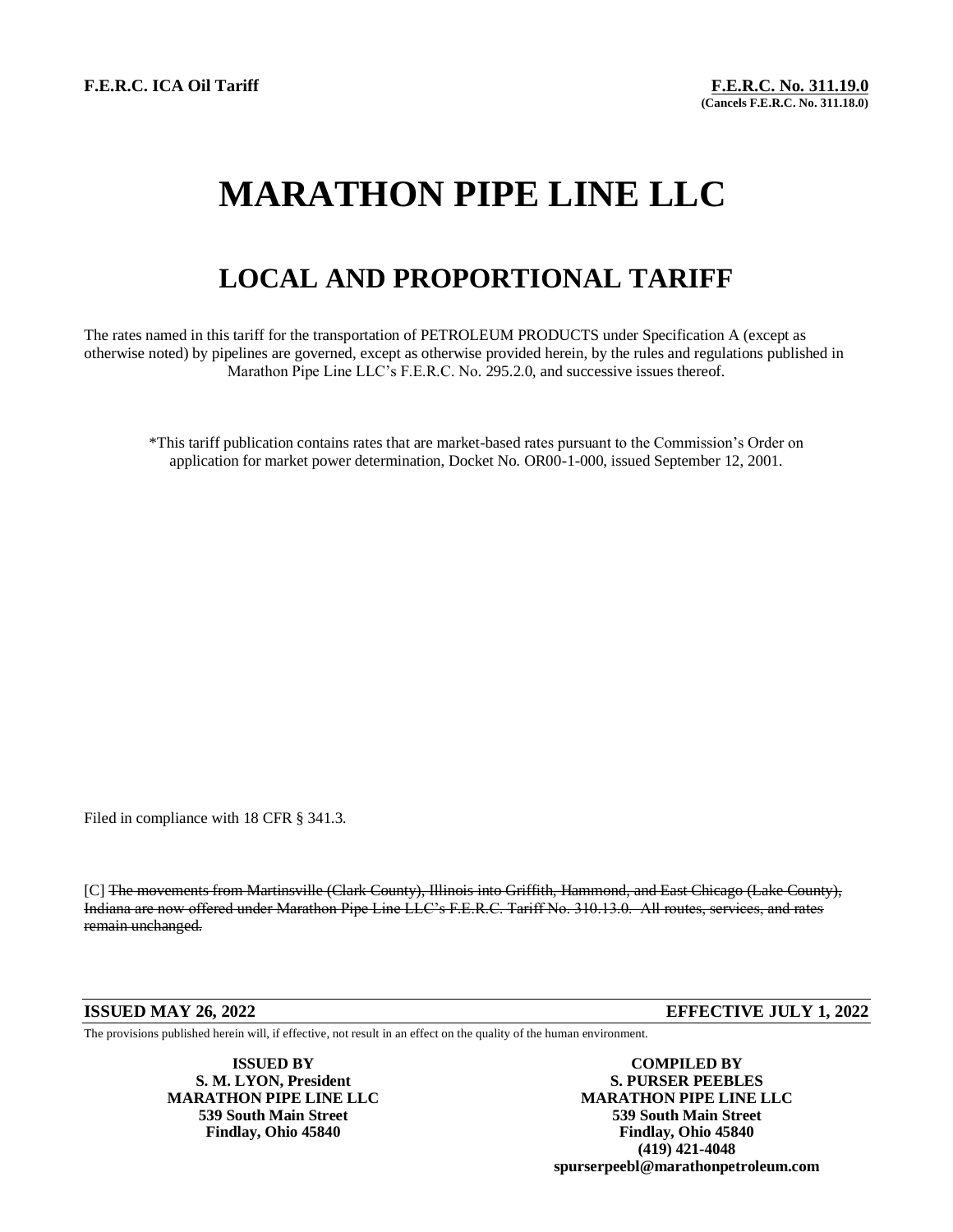# **MARATHON PIPE LINE LLC**

## **LOCAL AND PROPORTIONAL TARIFF**

The rates named in this tariff for the transportation of PETROLEUM PRODUCTS under Specification A (except as otherwise noted) by pipelines are governed, except as otherwise provided herein, by the rules and regulations published in Marathon Pipe Line LLC's F.E.R.C. No. 295.2.0, and successive issues thereof.

\*This tariff publication contains rates that are market-based rates pursuant to the Commission's Order on application for market power determination, Docket No. OR00-1-000, issued September 12, 2001.

Filed in compliance with 18 CFR § 341.3.

[C] The movements from Martinsville (Clark County), Illinois into Griffith, Hammond, and East Chicago (Lake County), Indiana are now offered under Marathon Pipe Line LLC's F.E.R.C. Tariff No. 310.13.0. All routes, services, and rates remain unchanged.

### **ISSUED MAY 26, 2022 EFFECTIVE JULY 1, 2022**

The provisions published herein will, if effective, not result in an effect on the quality of the human environment.

**ISSUED BY COMPILED BY S. M. LYON, President S. PURSER PEEBLES MARATHON PIPE LINE LLC**<br>539 South Main Street<br>539 South Main Street<br>539 South Main Street **539 South Main Street 539 South Main Street Findlay, Ohio 45840 Findlay, Ohio 45840 (419) 421-4048 spurserpeebl@marathonpetroleum.com**